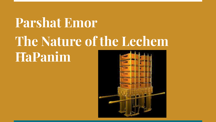# **Parshat Emor The Nature of the Lechem HaPanim**

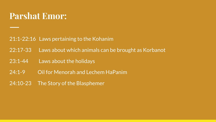### **Parshat Emor:**

### 21:1-22:16 Laws pertaining to the Kohanim

- 22:17-33 Laws about which animals can be brought as Korbanot
- 23:1-44 Laws about the holidays
- 24:1-9 Oil for Menorah and Lechem HaPanim
- 24:10-23 The Story of the Blasphemer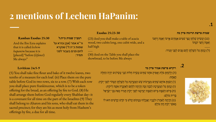## **2 mentions of Lechem HaPanim:**

#### **רמב״ן שמות כ״ה:ל 25:30 Exodus Ramban**

And the Ibn Ezra explains that it is called *lechem hapanim* because it is [placed] "before (*lifanei*) Me always"

ור''א אמר (אבן עזרא על שמות כ״ה:ל׳) שנקרא לחם פנים בעבור לפני תמיד:

……

(23) And you shall make a table of acacia wood, two cubits long, one cubit wide, and a half high

(30) And on the Table you shall place the showbread, to be before Me always

#### **שמות פרשת תרומה פרק כה 25:23-30 Exodus**

**.1**

(כג) וְעָשִׂיתָ שֻׁלְחָן עֲצֵי שִׁטִּים אַמָּתַיִם אָרְכּוֹ וְאַמֶּה רָחְבּוֹ וְאַמָּה וַחֲצִי קֹמַתוֹ

**.2**

.…… (ל) וְנַתַּתַּ עַל הַשָּׁלְחָן לֶחֶם פַּנִים לְפָנֵי תַּמִיד:

#### **ויקרא פרשת אמור פרק כד 24:5-9 Leviticus**

(ה) וְלָקַחְתָּ סֹלֶת וְאָפִיתָ אֹתָהּ שְׁתֵּים עֶשְׂרֵה חַלּוֹת שְׁנֵי עֶשְׂרֹנִים יִהְיֶה הַחַלָּה הָאֶ חָת:

(ו) וְשַׂמְתָּ אוֹתָם שְׁתַּיִם מַעֲרָכוֹת שֵׁשׁ הַמַּעֲרָכֶת עַל הַשֵּׁלְחָן הַטָּהֹר לִפְנֵי יְקוַק: (ז) וְנָתַתָּ עַל הַמַּעֲרֶכֶת לְבֹנָה זַכָּה וְהָיְתָה לַלֶּחֶם לְאַזְכָּרָה אִשֶּׁה לַיקוָק: (ח) בְּיוֹם הַשַּׁבָּת בְּיוֹם הַשַּׁבָּת יַעַרְבֶנּוּ לִפְנֵי יְקוָק תָּמִיד מֵאֵת בְּנֵי יִשְׂרָאֵל בִרית עוֹלִם:

(ט) וְהָיְתָה לְאַהֲרֹן וּלְבָנָיו וַאֲכָלָהוּ בְּמָקוֹם קָדֹשׁ כִּי קֹדֶשׁ קָדָשִׁים הוּא לוֹ מֵאִשֵּׁי יְקֹוָק חָק עוֹלָם

(5) You shall take fine flour and bake of it twelve loaves, two tenths of a measure for each loaf. (6) Place them on the pure table before God in two rows, six to a row. (7) With each row you shall place pure frankincense, which is to be a token offering for the bread, as an offering by fire to God. (8) He shall arrange them before God regularly every Shabbat day–it is a covenant for all time on the part of the Israelites (9) They shall belong to Aharon and his sons, who shall eat them in the sacred precinct; for they are his as most holy from Hashem's offerings by fire, a due for all time.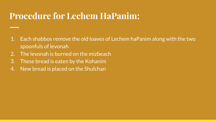### **Procedure for Lechem HaPanim:**

- 1. Each shabbos remove the old loaves of Lechem haPanim along with the two spoonfuls of levonah
- 2. The levonah is burned on the mizbeach
- 3. These bread is eaten by the Kohanim
- 4. New bread is placed on the Shulchan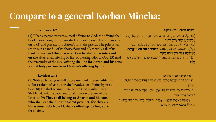### **Compare to a general Korban Mincha:**

(1) When a person presents a meal offering to God: the offering shall be of choice flour, the offeror shall pour oil upon it, lay frankincense on it, (2) and present it to Aaron's sons, the priests. The priest shall scoop out a handful of its choice flour and oil, as well as all of its frankincense; **and this token portion he shall turn into smoke on the altar,** as an offering by fire, of pleasing odor to God. (3) And the remainder of the meal offering **shall be for Aaron and his sons a most holy portion from Hashem's offering by fire**.

(7) With each row you shall place pure frankincense, **which is to be a token offering for the bread,** as an offering by fire to God. (8) He shall arrange them before God regularly every Shabbat day–it is a covenant for all time on the part of the Israelites (9) **They shall belong to Aharon and his sons, who shall eat them in the sacred precinct; for they are his as most holy from Hashem's offerings by fire**, a due for all time.

#### **ויקרא פרשת ויקרא פרק ב 2:1-2 Leviticus**

(א) וְנֶפֶ<sup>ּיָ</sup>שׁ כִּי תַקְרִיב קָרְבַּן מִנְחָה לַיקוָק סֹלֶת יִהְיֶה קָרְבָּנוֹ וְיָצַק) ַעֲלֶיהָ שֶׁמֶן וְנַתַן עַלֶיהָ לְבֹנַה: (ב) וֶהֱבִיאָהּ אֶל בְּנֵי אַהֲרֹן הַכּוֹהֲנִים וְקָמַץ מִשָּׁם מְלֹא קִמְצוֹ

מִ סָּלְ תָּ הּ וּמִ שַּׁ מְ נָהּ עַל כָּל לְ ב ֹנָתָ הּ **וְ הִ קְ טִ יר הַכּ ֹהֵן אֶ ת אַזְכָּרָ תָ הּ הַמִּ זְבֵּחָה** אִשֵּׁה רֵיחַ נִיחֹחַ לַיקוַק:

 (ג) וְהַנּוֹתֶ רֶ ת מִ ן הַמִּ נְחָה **לְ אַהֲר ֹן וּלְ בָנָיו ק ֹדֶ שׁ קָדָ שִׁ ים מֵ אִ שֵּׁ י יְק ֹוָק:**

**ויקרא פרשת אמור פרק כד 24:5 Leviticus-**

 (ז) וְנָתַ תָּ עַל הַמַּ עֲרֶ כֶת לְ ב ֹנָה זַכָּה **וְ הָיְתָ ה לַלֶּחֶם לְ אַזְכָּרָ ה** אִ שֶּׁ ה ליקוֹק:

(π) בְּיוֹם הַשַּׁבָּת בְּיוֹם הַשַּׁבָּת יַעַרְכָנּוּ לִפְנֵי יְקוָק תָּמִיד מֵאֵת בְּנֵי יִשְׂ רָ אֵ ל בְּ רִ ית עוֹלָם:

 (ט) **וְ הָיְתָ ה לְ אַהֲר ֹן וּלְ בָנָיו וַאֲכָלֻהוּ בְּ מָ קוֹם קָד ֹשׁ כִּ י ק ֹדֶ שׁ קָדָ שִׁ ים הוּא לוֹ מֵ אִ שֵּׁ י יְק ֹוָק** חָק עוֹלָם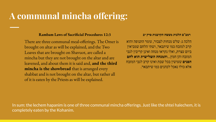## **A communal mincha offering:**

#### **רמב"ם הלכות מעשה הקרבנות פרק יב 12:3 Procedures Sacrificial of Laws Rambam**

There are three communal meal-offerings. The Omer is brought on altar as will be explained, and the Two Loaves that are brought on Shavuot, are called a mincha but they are not brought on the altar and are leavened, and about them it is said and, **and the third mincha is the showbread** that is arranged every shabbat and is not brought on the altar, but rather all of it is eaten by the Priests as will be explained.

הלכה ג: שלש מנחות לצבור, עומר התנופה והוא קרב למזבח כמו שיתבאר, ושתי הלחם שמביאין ביום עצרת, ואלו נקראו מנחה ואינן קריבין לגבי המזבח והן חמץ...**והמנחה השלישית הוא לחם הפנים** שעושין בכל שבת ואינו קרב לגבי המזבח אלא כולו נאכל לכהנים כמו שיתבאר.

In sum: the lechem hapanim is one of three communal mincha offerings. Just like the shtei halechem, it is completely eaten by the Kohanim.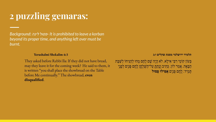## **2 puzzling gemaras:**

*Background: לינה פסול- It is prohibited to leave a korban beyond its proper time, and anything left over must be burnt.* 

#### **תלמוד ירושלמי מסכת שקלים ו:ג 6:3 Shekalim Yerushalmi**

They asked before Rebbi Ila: If they did not have bread, may they leave it for the coming week? He said to them, it is written "you shall place the showbread on the Table before Me continually." The showbread, **even disqualified**.

בְּעוֹן קוֹמֵי רִבְּי אִילָא. לֹא הָיָה שָׁם לֶחֶם מָהוּ לְהַנִּיחוֹ לַשַּׁבָּת הַבָּאָה. אֲמַר לוֹן. כְּתִיב וְנֵתַתְּ עַל־ה<sup>ָ</sup>שָׁלְחֵן לֶחֶם פַּנִיִם לְפַנִי תָּ מִ ֽיד׃ לֶ ֥חֶם פָּנִי֭ ם **אֲפִ ילוּ פָסוּל**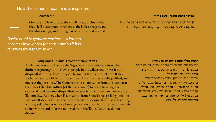### How the lechem hapanim is transported:

Over the Table of display they shall spread a blue cloth; they shall place upon it the bowls, the ladles, the jars, and the libation jugs; and the regular bread shall rest upon it.

*Background to gemara: יוצא פסול - A korban becomes invalidated for consumption if it is removed from the mishkan*

#### **תלמוד בבלי מסכת מנחות דף צה עמוד א a95 Menachot Tractate Talmud Babylonian**

A dilemma was raised before the Sages: was the showbread disqualified during the journeys of the Jewish people in the wilderness or was it not disqualified during the journeys? The matter is a dispute between Rabbi Yochanan and Rabbi Yehoshua ben Levi. One says they are disqualified, and one says they are not…The Gemara brings an objection from the baraita: at the time of the dismantling [of the Tabernacle] to begin traveling, the sacrificial food becomes disqualified because it is considered to have left the Tabernacle... Rather, when Ravin came [from Eretz Yisrael to Babylonia] he said: one Rabbi [who said the showbread is not disqualified] stated his ruling with regard to loaves removed arranged e showbread is disqualified] stated his ruling with regard to loaves removed from the Table. And they do not disagree.

**במדבר פרשת במדבר - נשא פרק ד 4:7 Numbers**

(ז) וְעַל שֵׁלְחַן הַפָּנִים יִפְרְשׂוּ בֶּגֶד תְּכֵלֶת וְנָתְנוּ עָלָיו אֶת הַקְּעָרֹת וְאֶת) הַכַּפּ ֹת וְאֶ ת הַמְּ נַקִּ יּ ֹת וְאֵ ת קְ שׂוֹת הַנָּסְֶך וְלֶחֶם הַתָּ מִ יד עָלָיו יִהְ יֶה:

> איבעיא להו: לחם הפנים נפסל במסעות, או אינו נפסל במסעות? רבי יוחנן ורבי יהושע בן לוי, חד אמר: נפסל, וחד אמר: אינו נפסל..... מיתיבי: בשעת סילוק מסעות - קדשים נפסלין ביוצא...; מאי לאו אפילו לחם הפנים! לא, בר מלחם הפנים. מה נפשך? אי אהל מועד דוקא הוא, אפילו קדשים נמי! אי אהל מועד לאו דוקא הוא, אפילו לחם הפנים נמי! אלא כי אתא רבין אמר: מר אמר במסודר,

ומר אמר במסולק, ולא פליגי.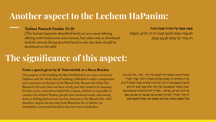## **Another aspect to the Lechem HaPanim:**

#### **Tzafnat Paneach Exodus 25:30**

[The lechem hapanim described here] are not a meal-offering offering with frankincense and a *kometz*, but rather only as showbread. And the mitzvah [being described here] is only that there should be showbread on the table

### **צפנת פנעח על התורה שמות כה:ל**

לא בגדר מנחה ולבונה קומץ רק דין לה״פ, והמצוה רק שיהי' על שלחן לא כמו מנחה.

### **The significance of this aspect:**

#### **From a speech given by R' Soloveitchik at a Sheva Brachot**

The purpose of the building the Beit HaMikdash is to create a house for Hashem, and the whole idea of building a Mikdash is really a compromise and concession on the part of the Blessed One. Because the Holy One Blessed be He truly does not have a body, and why would it be necessary for there to be a mitzvah to build Him a house, and how is it possible to contract the infinite? Rather, people have emotional needs, and among them, is feeling physical and concrete closeness to the Blessed One. And therefore, despite the fact that God, Blessed be He, is infinite, he nonetheless contracted himself at that time into a small place.

שתכלית בנין המשכן היה לעשות בית לה׳...ההר...וכל ענין בית בניית המקדש היה באמת בבחינת פשרה וויתור מצדו יתברך דהקב״ה באמת אין לו גוף, ומה שייך שתהיה מצוה לבנות לו בית, והאיך אפשר לצמצם את האין סוף. אלא שבני אדם יש להם צריכים רגשיים, ובניהם – הצורך להרגיש בחוש ובממשות את קירבתו יתברך. [לפיכך] למרות מה שהשי״ת הוא אין סוף מכל מקום באותו זמן הוא צמצם את עצמו למקום קטן.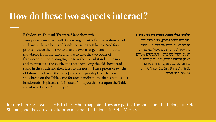## **How do these two aspects interact?**

### **Babylonian Talmud Tractate Menachot 99b**

Four priests enter, two with two arrangements of the new showbread and two with two bowls of frankincense in their hands. And four priests precede them, two to take the two arrangements of the old showbread from the Table and two to take the two bowls of frankincense. Those bringing the new showbread stand in the north and their faces to the south, and those removing the old showbread stand in the south and their faces to the north. These priests draw [the old showbread from the Table] and those priests place ]the new showbread on the Table], and for each handbreadth [that is removed] a handbreadth is placed, as it is stated: "and you shall set upon the Table showbread before Me always."

#### **תלמוד בבלי מסכת מנחות דף צט עמוד ב**

וארבעה כהנים נכנסין, שנים בידם שני סדרים ושנים בידם שני בזיכין, וארבעה מקדימין לפניהם, שנים ליטול שני סדרים ושנים ליטול שני בזיכין, המכניסים עומדים בצפון ופניהם לדרום, והמוציאין עומדים בדרום ופניהם בצפון, אלו מושכין ואלו מניחין, וטפחו של זה כנגד טפחו של זה, שנאמר: לפני תמיד;

In sum: there are two aspects to the lechem hapanim. They are part of the shulchan–this belongs in Sefer Shemot, and they are also a kobran mincha–this belongs in Sefer VaYikra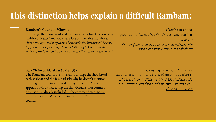### **This distinction helps explain a difficult Rambam:**

#### **Rambam's Count of Mitzvot**

To arrange the showbread and frankincense before God on every shabbat as it says "and you shall place on the table showbread." *Avraham says: and why didn't he include the burning of the bowls [of frankincense] as it says "a burnt offering to God" and the eating of the bread as it says "and you shall eat it in a holy place."*

#### **מנין המצוות לרמב"ם**

**כז** להסדיר לחם ולבונה לפני י"י בכל שבת שנ' ונתת על השלחן לחם פנים.

*א"א ולמה לא חשב הקטרת הבזיכין דכתיב (פ' אמור) אשה לי"י ואכילת לחם דכתיב (שם) ואכלוהו במקום קדוש*

#### **Rav Chaim on Masekhet Sukkah 55a**

The Rambam counts the mitzvah to arrange the showbread each shabbat and the Ra'abad asks why he doesn't mention burning the frankincense and eating the bread. And it appears obvious that eating the showbread is [not counted because it is] already included in the commandment to eat the remainder of Mincha offerings that the Rambam counts.

**חידושי הגר"ח מסכת סוכה דף נו עמוד א**

הרמב"ם במנין המצות (עשה כז) כתב להסדיר לחם הפנים בכל שבת, ובהשגות שם וכן להקטיר הבזיכין ואכילת לחם ע"ש. ונראה דזה פשוט דאכילת לחה"פ נכלל במצות שיורי מנחות שמנה אותם הרמב"ם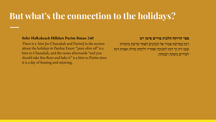## **But what's the connection to the holidays?**

### **Sefer HaRokeach Hilkhot Purim Siman 240**

There is a hint [to Chanukah and Purim] in the section about the holidays in Parshat Emor: "pure olive oil" is a hint to Chanukah, and the verses afterwards "and you should take fine flour and bake it" is a hint to Purim since it is a day of feasting and rejoicing.

### **ספר הרוקח הלכות פורים סימן רמ**

רמז בפרשת אמור אל הכהנים לאחר פרשת מועדות שמן זית זך רמז לחנוכה ואחריו ולקחת סולת ואפית רמז לפורים משתה ושמחה: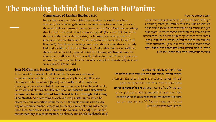### **The meaning behind the Lechem HaPanim:**

#### **Commentary of Ramban Exodus 25:24**

In this lies the secret of the table: since the time the world came into existence, God's blessing did not create something from nothing; instead, the world follows its natural course, for its written "and God saw everything that He had made, and behold it was very good" (Genesis 1:31). But when the root of the matter already exists, the blessing descends upon it and increases it, just as Elisha said "tell me what do you have in the house?" (II Kings 4:2). And then the blessing came upon the pot of oil that she already had, and she filled all the vessels from it…And so also was the case with the showbread on the table; upon it rested the blessing, and from it came the abundance to all Israel. That is why the Rabbis have said: "Every priest who received even only as much as the size of a bean [of the showbread] ate it and was satisfied." (Yoma 39b)

#### **Sefer HaChinuch, Parshat Terumah Mitzvah 97**

The root of the mitzvah: God blessed be He gave us a continual commandment with bread because man lives by bread, and therefore blessing must be found in it [bread] continually. And through our investing in it in order to fulfill the commandments of God blessed be He, God's will and blessing should come upon us. **Because with whatever a person uses to do the will of God blessed be He, through that thing is he blessed.** And according to each and every matter upon which he places the conglomeration of his focus, his thoughts and his activities by way of a commandment - according to them, a similar blessing will emerge upon him. And this is what I found in the Ramban z"l, and[ it] is like the matter that they, may their memory be blessed, said (Rosh HaShanah 16:1)

#### **רמב״ן שמות כ״ה:כ״ד**

וכן הדבר, שזה סוד השולחן, כי ברכת השם מעת היות העולם לא נברא יש מאין, אבל עולם כמנהגו נוהג, דכתיב (בראשית א לא) וירא אלהים את כל אשר עשה והנה טוב מאד. אבל כאשר יהיה שם שרש דבר תחול עליו הברכה ותוסיף בו, כאשר אמר אלישע הגידי לי מה יש לך בבית (מלכים ב ד׳:ב׳), וחלה הברכה על אסוך שמן ומלאה כל הכלים, ובאליהו כד הקמח לא כלתה וצפחת השמן לא חסר (מלכים א י״ז:ט״ז). וכן השולחן בלחם הפנים, בו תחול הברכה, וממנו יבא השובע לכל ישראל. ולכך אמרו כל כהן שמגיעו כפול אוכל ושבע (יומא לט.):

#### **ספר החינוך פרשת תרומה מצוה צז**

משרשי המצוה. שציונו האל ברוך הוא מצוה תמידית בלחם לפי שבו יחיה האדם, ועל כן צריך אליו להיות הברכה מצויה בו תמיד, ומתוך עסקנו בו לקיים עליו מצות השם יתברך יהיה הרצון והברכה חלים עלינו ויתברך במעינו, **כי בכל שעושה בו האדם רצון השם יתברך בו הוא מתברך,** ולפי כל ענין וענין שישים מגמת פניו ומחשבותיו ועסקיו בדבר מצוה לפיהן מעין הברכה נובע עליו. וכן מצאתי להרמב"ן ז"ל, וכעין מה שאמרו זכרונם לברכה [ראש השנה דף ט"ז ע"א]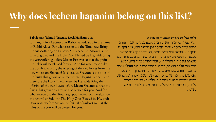## **Why does lechem hapanim belong on this list?**

#### **Babylonian Talmud Tractate Rosh HaShana 16a**

It is taught in a *baraita* that Rabbi Yehuda said in the name of Rabbi Akive: For what reason did the Torah say: Bring the *omer* offering on Passover? It is because Passover is the time of grain, and the Holy One, Blessed be He, said: bring the *omer* offering before Me on Passover so that the grain in the fields will be blessed for you. And for what reason did the Torah say: Bring the offering of the two loaves from the new wheat on Shavuot*?* It is because Shavuot is the time of the fruits that grows on a tree, when it begins to ripen, and therefore the Holy One, Blessed be He, said: Bring the offering of the two loaves before Me on Shavuot so that the fruits that grow on a tree will be blessed for you. And for what reason did the Torah say: pour water [on the altar] on the festival of Sukkot? The Holy One, Blessed be He, said: Pour water before Me on the festival of Sukkot so that the rains of the year will be blessed for you…

#### **תלמוד בבלי מסכת ראש השנה דף טז עמוד א**

תניא, אמר רבי יהודה משום רבי עקיבא: מפני מה אמרה תורה הביאו עומר בפסח - מפני שהפסח זמן תבואה הוא; אמר הקדוש ברוך הוא: הביאו לפני עומר בפסח, כדי שתתברך לכם תבואה שבשדות. ומפני מה אמרה תורה הביאו שתי הלחם בעצרת - מפני שעצרת זמן פירות האילן הוא; אמר הקדוש ברוך הוא: הביאו לפני שתי הלחם בעצרת, כדי שיתברכו לכם פירות האילן. ומפני מה אמרה תורה נסכו מים בחג - אמר הקדוש ברוך הוא: נסכו לפני מים בחג, כדי שיתברכו לכם גשמי שנה, ואמרו לפני בראש השנה מלכיות זכרונות ושופרות. מלכיות - כדי שתמליכוני עליכם, זכרונות - כדי שיעלה זכרוניכם לפני לטובה, ובמה - בשופר.